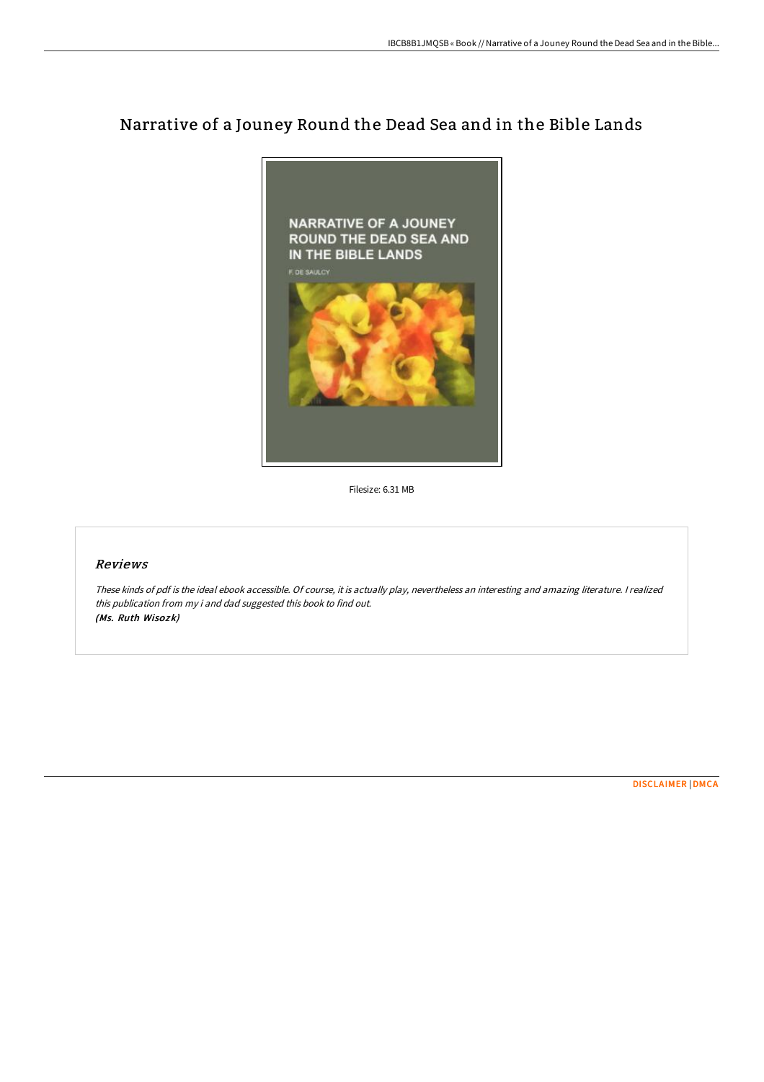# Narrative of a Jouney Round the Dead Sea and in the Bible Lands



Filesize: 6.31 MB

## Reviews

These kinds of pdf is the ideal ebook accessible. Of course, it is actually play, nevertheless an interesting and amazing literature. <sup>I</sup> realized this publication from my i and dad suggested this book to find out. (Ms. Ruth Wisozk)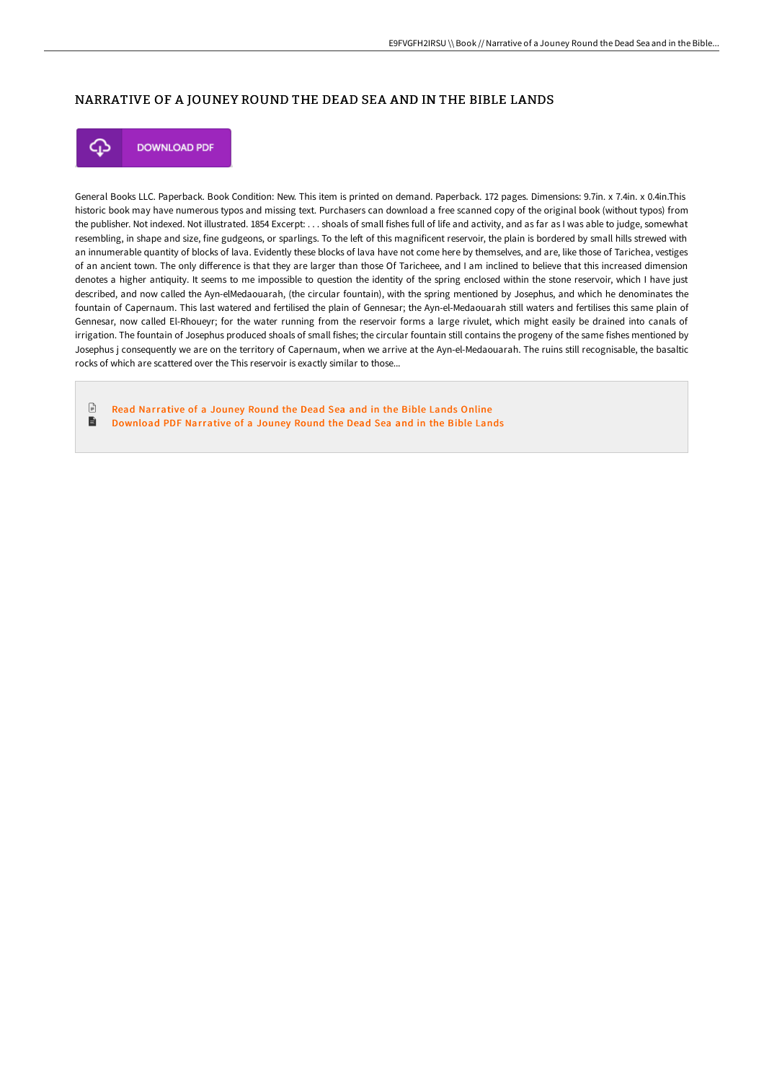## NARRATIVE OF A JOUNEY ROUND THE DEAD SEA AND IN THE BIBLE LANDS



**DOWNLOAD PDF** 

General Books LLC. Paperback. Book Condition: New. This item is printed on demand. Paperback. 172 pages. Dimensions: 9.7in. x 7.4in. x 0.4in.This historic book may have numerous typos and missing text. Purchasers can download a free scanned copy of the original book (without typos) from the publisher. Not indexed. Not illustrated. 1854 Excerpt: . . . shoals of small fishes full of life and activity, and as far as I was able to judge, somewhat resembling, in shape and size, fine gudgeons, or sparlings. To the left of this magnificent reservoir, the plain is bordered by small hills strewed with an innumerable quantity of blocks of lava. Evidently these blocks of lava have not come here by themselves, and are, like those of Tarichea, vestiges of an ancient town. The only diFerence is that they are larger than those Of Taricheee, and I am inclined to believe that this increased dimension denotes a higher antiquity. It seems to me impossible to question the identity of the spring enclosed within the stone reservoir, which I have just described, and now called the Ayn-elMedaouarah, (the circular fountain), with the spring mentioned by Josephus, and which he denominates the fountain of Capernaum. This last watered and fertilised the plain of Gennesar; the Ayn-el-Medaouarah still waters and fertilises this same plain of Gennesar, now called El-Rhoueyr; for the water running from the reservoir forms a large rivulet, which might easily be drained into canals of irrigation. The fountain of Josephus produced shoals of small fishes; the circular fountain still contains the progeny of the same fishes mentioned by Josephus j consequently we are on the territory of Capernaum, when we arrive at the Ayn-el-Medaouarah. The ruins still recognisable, the basaltic rocks of which are scattered over the This reservoir is exactly similar to those...

 $\Box$ Read [Narrative](http://techno-pub.tech/narrative-of-a-jouney-round-the-dead-sea-and-in-.html) of a Jouney Round the Dead Sea and in the Bible Lands Online  $\blacksquare$ [Download](http://techno-pub.tech/narrative-of-a-jouney-round-the-dead-sea-and-in-.html) PDF Narrative of a Jouney Round the Dead Sea and in the Bible Lands